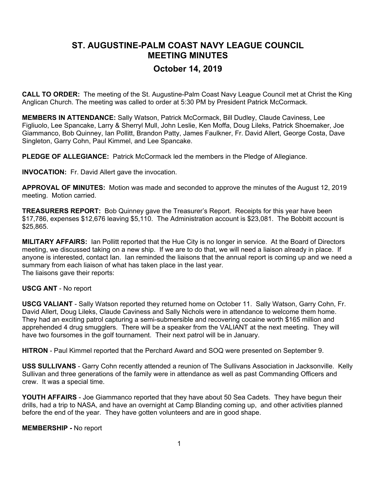## **ST. AUGUSTINE-PALM COAST NAVY LEAGUE COUNCIL MEETING MINUTES October 14, 2019**

**CALL TO ORDER:** The meeting of the St. Augustine-Palm Coast Navy League Council met at Christ the King Anglican Church. The meeting was called to order at 5:30 PM by President Patrick McCormack.

**MEMBERS IN ATTENDANCE:** Sally Watson, Patrick McCormack, Bill Dudley, Claude Caviness, Lee Figliuolo, Lee Spancake, Larry & Sherryl Mull, John Leslie, Ken Moffa, Doug Lileks, Patrick Shoemaker, Joe Giammanco, Bob Quinney, Ian Pollitt, Brandon Patty, James Faulkner, Fr. David Allert, George Costa, Dave Singleton, Garry Cohn, Paul Kimmel, and Lee Spancake.

**PLEDGE OF ALLEGIANCE:** Patrick McCormack led the members in the Pledge of Allegiance.

**INVOCATION:** Fr. David Allert gave the invocation.

**APPROVAL OF MINUTES:** Motion was made and seconded to approve the minutes of the August 12, 2019 meeting. Motion carried.

**TREASURERS REPORT:** Bob Quinney gave the Treasurer's Report. Receipts for this year have been \$17,786, expenses \$12,676 leaving \$5,110. The Administration account is \$23,081. The Bobbitt account is \$25,865.

**MILITARY AFFAIRS:** Ian Pollitt reported that the Hue City is no longer in service. At the Board of Directors meeting, we discussed taking on a new ship. If we are to do that, we will need a liaison already in place. If anyone is interested, contact Ian. Ian reminded the liaisons that the annual report is coming up and we need a summary from each liaison of what has taken place in the last year. The liaisons gave their reports:

## **USCG ANT** - No report

**USCG VALIANT** - Sally Watson reported they returned home on October 11. Sally Watson, Garry Cohn, Fr. David Allert, Doug Lileks, Claude Caviness and Sally Nichols were in attendance to welcome them home. They had an exciting patrol capturing a semi-submersible and recovering cocaine worth \$165 million and apprehended 4 drug smugglers. There will be a speaker from the VALIANT at the next meeting. They will have two foursomes in the golf tournament. Their next patrol will be in January.

**HITRON** - Paul Kimmel reported that the Perchard Award and SOQ were presented on September 9.

**USS SULLIVANS** - Garry Cohn recently attended a reunion of The Sullivans Association in Jacksonville. Kelly Sullivan and three generations of the family were in attendance as well as past Commanding Officers and crew. It was a special time.

**YOUTH AFFAIRS** - Joe Giammanco reported that they have about 50 Sea Cadets. They have begun their drills, had a trip to NASA, and have an overnight at Camp Blanding coming up, and other activities planned before the end of the year. They have gotten volunteers and are in good shape.

## **MEMBERSHIP -** No report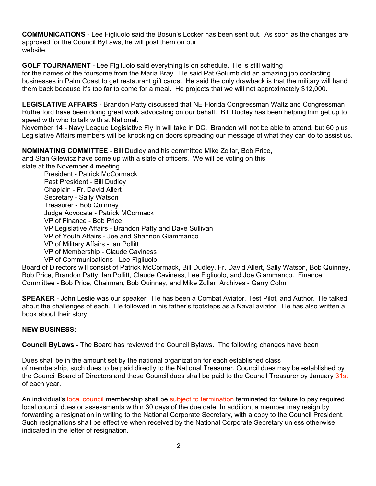**COMMUNICATIONS** - Lee Figliuolo said the Bosun's Locker has been sent out. As soon as the changes are approved for the Council ByLaws, he will post them on our website.

**GOLF TOURNAMENT** - Lee Figliuolo said everything is on schedule. He is still waiting

for the names of the foursome from the Maria Bray. He said Pat Golumb did an amazing job contacting businesses in Palm Coast to get restaurant gift cards. He said the only drawback is that the military will hand them back because it's too far to come for a meal. He projects that we will net approximately \$12,000.

**LEGISLATIVE AFFAIRS** - Brandon Patty discussed that NE Florida Congressman Waltz and Congressman Rutherford have been doing great work advocating on our behalf. Bill Dudley has been helping him get up to speed with who to talk with at National.

November 14 - Navy League Legislative Fly In will take in DC. Brandon will not be able to attend, but 60 plus Legislative Affairs members will be knocking on doors spreading our message of what they can do to assist us.

**NOMINATING COMMITTEE** - Bill Dudley and his committee Mike Zollar, Bob Price, and Stan Gilewicz have come up with a slate of officers. We will be voting on this

slate at the November 4 meeting.

President - Patrick McCormack Past President - Bill Dudley Chaplain - Fr. David Allert Secretary - Sally Watson Treasurer - Bob Quinney Judge Advocate - Patrick MCormack VP of Finance - Bob Price VP Legislative Affairs - Brandon Patty and Dave Sullivan VP of Youth Affairs - Joe and Shannon Giammanco VP of Military Affairs - Ian Pollitt VP of Membership - Claude Caviness VP of Communications - Lee Figliuolo

Board of Directors will consist of Patrick McCormack, Bill Dudley, Fr. David Allert, Sally Watson, Bob Quinney, Bob Price, Brandon Patty, Ian Pollitt, Claude Caviness, Lee Figliuolo, and Joe Giammanco. Finance Committee - Bob Price, Chairman, Bob Quinney, and Mike Zollar Archives - Garry Cohn

**SPEAKER** - John Leslie was our speaker. He has been a Combat Aviator, Test Pilot, and Author. He talked about the challenges of each. He followed in his father's footsteps as a Naval aviator. He has also written a book about their story.

## **NEW BUSINESS:**

**Council ByLaws -** The Board has reviewed the Council Bylaws. The following changes have been

Dues shall be in the amount set by the national organization for each established class of membership, such dues to be paid directly to the National Treasurer. Council dues may be established by the Council Board of Directors and these Council dues shall be paid to the Council Treasurer by January 31st of each year.

An individual's local council membership shall be subject to termination terminated for failure to pay required local council dues or assessments within 30 days of the due date. In addition, a member may resign by forwarding a resignation in writing to the National Corporate Secretary, with a copy to the Council President. Such resignations shall be effective when received by the National Corporate Secretary unless otherwise indicated in the letter of resignation.